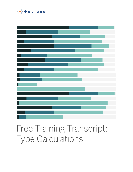

## Free Training Transcript: Type Calculations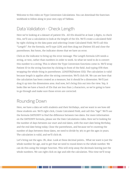Welcome to this video on Type Conversion Calculations. You can download the Exercises workbook to follow along in your own copy of Tableau.

## Data Validation - Check Length

Here we're looking at a dataset of patient IDs. All IDs should be at least 3 digits, to check this, we'll use a calculation to look at the length of the IDs. We'll create a calculated field by right clicking in the data pane and selecting Create Calculated Field. We'll call this "Length". For the formula, we'll type LEN( and then drag out [Patient ID] and close the parentheses. But hmm, the indicator shows that we have an error.

Click on the indicator to bring up the error message. The Length formula LEN needs a string, or text, rather than numbers in order to work. So what we need to do is convert this number to a string. This is where the Type Conversion functions come in. We'll wrap Patient ID in the string function by clicking in front of the field. And typing STR then wrapping the whole thing in parentheses. LEN(STR([Patient ID])). The calculation is valid because length is applies after the string conversion. We'll click OK. We can see here that the calculation has been created as a measure, but it should be a dimension. We'll just drag it up into the dimensions area. And now, let's bring this out into the view. Yep, it looks like we have a bunch of IDs that are less than 3 characters, so we're going to have to go through and make sure those errors are corrected.

## Rounding Down

Here, we have a data set with students and their birthdays, and we want to see how old these students are. We'll right click, Create Calculated Field, and call this "Age". We'll use the formula DATEDIFF to find the difference between two dates. For more information on the DATEDIFF formula, please see the Date Calculations video. Here we're looking for the number of days between our start and end dates, with the start date being Birthday, and the end date being today. Close the parentheses, and because we're counting the number of days between these dates, we need to divide by 365 to get the ages in years. The calculation is valid, and we'll click ok.

Let's bring out the ages. Oh, dear. Look at these decimal points... What we want is just the whole number for age, and to get that we need to round down to the whole number. We can do this using the integer function. This will strip away the decimals leaving just the whole numbers. We can right click on Age and edit the calculation. This time we'll wrap